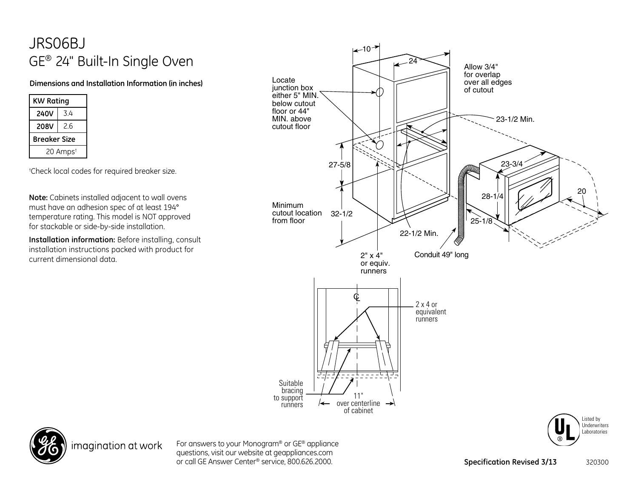## JRS06BJ GE® 24" Built-In Single Oven

## **Dimensions and Installation Information (in inches)**

| <b>KW Rating</b>     |     |
|----------------------|-----|
| <b>240V</b>          | 34  |
| 208V                 | 2.6 |
| Breaker Size         |     |
| 20 Amps <sup>t</sup> |     |

† Check local codes for required breaker size.

**Note:** Cabinets installed adjacent to wall ovens must have an adhesion spec of at least 194° temperature rating. This model is NOT approved for stackable or side-by-side installation.

**Installation information:** Before installing, consult installation instructions packed with product for current dimensional data.





imagination at work

For answers to your Monogram® or GE® appliance questions, visit our website at geappliances.com